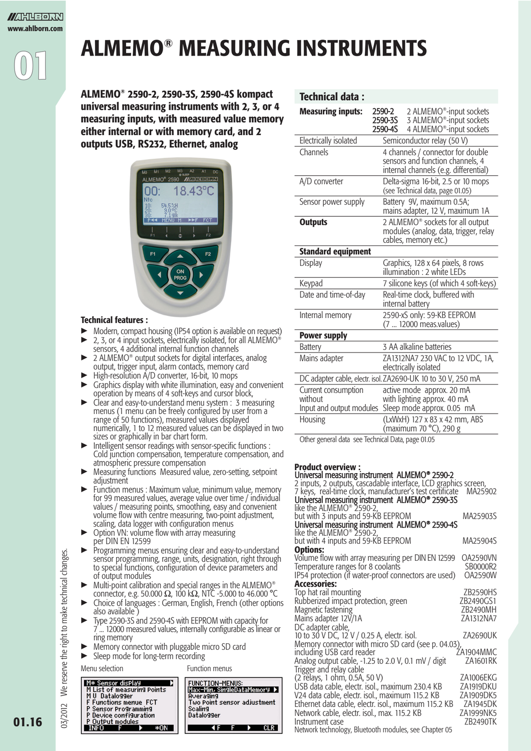

### ALMEMO® MEASURING INSTRUMENTS

Technical data :

ALMEMO® 2590-2, 2590-3S, 2590-4S kompact universal measuring instruments with 2, 3, or 4 measuring inputs, with measured value memory either internal or with memory card, and 2 outputs USB, RS232, Ethernet, analog



#### Technical features :

- Modern, compact housing (IP54 option is available on request)
- $\triangleright$  2, 3, or 4 input sockets, electrically isolated, for all ALMEMO<sup>®</sup> sensors, 4 additional internal function channels
- ► 2 ALMEMO® output sockets for digital interfaces, analog output, trigger input, alarm contacts, memory card<br>► High-resolution A/D converter 16-bit 10 mons
- $\blacktriangleright$  High-resolution  $\angle$ /D converter, 16-bit, 10 mops
- Graphics display with white illumination, easy and convenient operation by means of 4 soft-keys and cursor block,
- ► Clear and easy-to-understand menu system : 3 measuring menus (1 menu can be freely configured by user from a range of 50 functions), measured values displayed numerically, 1 to 12 measured values can be displayed in two sizes or graphically in bar chart form.
- Intelligent sensor readings with sensor-specific functions : Cold junction compensation, temperature compensation, and atmospheric pressure compensation
- Measuring functions Measured value, zero-setting, setpoint adjustment
- Function menus : Maximum value, minimum value, memory for 99 measured values, average value over time / individual values / measuring points, smoothing, easy and convenient volume flow with centre measuring, two-point adjustment, scaling, data logger with configuration menus
- $\triangleright$  Option VN: volume flow with array measuring per DIN EN 12599
- Programming menus ensuring clear and easy-to-understand sensor programming, range, units, designation, right through to special functions, configuration of device parameters and of output modules
- Multi-point calibration and special ranges in the ALMEMO® connector, e.g. 50.000  $\Omega$ , 100 k $\Omega$ , NTC -5.000 to 46.000 °C
- Choice of languages : German, English, French (other options also available )
- Type 2590-3S and 2590-4S with EEPROM with capacity for 7 ... 12000 measured values, internally configurable as linear or ring memory
- $\triangleright$  Memory connector with pluggable micro SD card
- Sleep mode for long-term recording

Menu selection **Function** menus



| <b>Measuring inputs:</b>                                   | 2590-2<br>2590-3S<br>2590-4S | 2 ALMEMO <sup>®</sup> -input sockets<br>3 ALMEMO <sup>®</sup> -input sockets<br>4 ALMEMO <sup>®</sup> -input sockets |  |
|------------------------------------------------------------|------------------------------|----------------------------------------------------------------------------------------------------------------------|--|
| Electrically isolated                                      |                              | Semiconductor relay (50 V)                                                                                           |  |
| Channels                                                   |                              | 4 channels / connector for double<br>sensors and function channels, 4<br>internal channels (e.g. differential)       |  |
| A/D converter                                              |                              | Delta-sigma 16-bit, 2.5 or 10 mops<br>(see Technical data, page 01.05)                                               |  |
| Sensor power supply                                        |                              | Battery 9V, maximum 0.5A;<br>mains adapter, 12 V, maximum 1A                                                         |  |
| <b>Outputs</b>                                             |                              | 2 ALMEMO <sup>®</sup> sockets for all output<br>modules (analog, data, trigger, relay<br>cables, memory etc.)        |  |
| <b>Standard equipment</b>                                  |                              |                                                                                                                      |  |
| <b>Display</b>                                             |                              | Graphics, 128 x 64 pixels, 8 rows<br>illumination: 2 white LEDs                                                      |  |
| Keypad                                                     |                              | 7 silicone keys (of which 4 soft-keys)                                                                               |  |
| Date and time-of-day                                       |                              | Real-time clock, buffered with<br>internal battery                                                                   |  |
| Internal memory                                            |                              | 2590-xS only: 59-KB EEPROM<br>(7  12000 meas.values)                                                                 |  |
| <b>Power supply</b>                                        |                              |                                                                                                                      |  |
| <b>Battery</b>                                             |                              | 3 AA alkaline batteries                                                                                              |  |
| Mains adapter                                              |                              | ZA1312NA7 230 VAC to 12 VDC, 1A,<br>electrically isolated                                                            |  |
|                                                            |                              | DC adapter cable, electr. isol. ZA2690-UK 10 to 30 V, 250 mA                                                         |  |
| Current consumption<br>without<br>Input and output modules |                              | active mode approx. 20 mA<br>with lighting approx. 40 mA<br>Sleep mode approx. 0.05 mA                               |  |
| Housing                                                    |                              | (LxWxH) 127 x 83 x 42 mm, ABS<br>(maximum 70 °C), 290 g                                                              |  |
| Other general data see Technical Data nage 01.05           |                              |                                                                                                                      |  |

Other general data see Technical Data, page 01.05

#### Product overview :

| Universal measuring instrument ALMEMO® 2590-2                                                                               |                     |
|-----------------------------------------------------------------------------------------------------------------------------|---------------------|
| 2 inputs, 2 outputs, cascadable interface, LCD graphics screen,<br>7 keys, real-time clock, manufacturer's test certificate | MA25902             |
| Universal measuring instrument ALMEMO® 2590-3S                                                                              |                     |
| like the ALMEMO <sup>®</sup> 2590-2,<br>but with 3 inputs and 59-KB EEPROM                                                  | MA25903S            |
| Universal measuring instrument ALMEMO® 2590-4S                                                                              |                     |
| like the ALMEMO <sup>®</sup> 2590-2,                                                                                        |                     |
| but with 4 inputs and 59-KB EEPROM                                                                                          | MA25904S            |
| <b>Options:</b>                                                                                                             |                     |
| Volume flow with array measuring per DIN EN 12599                                                                           | OA2590VN            |
| Temperature ranges for 8 coolants<br>IP54 protection (if water-proof connectors are used)                                   | SB0000R2<br>OA2590W |
| <b>Accessories:</b>                                                                                                         |                     |
| Top hat rail mounting                                                                                                       | ZB2590HS            |
| Rubberized impact protection, green                                                                                         | ZB2490GS1           |
| Magnetic fastening                                                                                                          | ZB2490MH            |
| Mains adapter 12V/1A                                                                                                        | ZA1312NA7           |
| DC adapter cable,                                                                                                           |                     |
| 10 to 30 V DC, 12 V / 0.25 A, electr. isol.                                                                                 | ZA2690UK            |
| Memory connector with micro SD card (see p. 04.03),<br>including USB card reader                                            | ŹA1904MMC           |
| Analog output cable, $-1.25$ to 2.0 V, 0.1 mV / digit                                                                       | ZA1601RK            |
| Trigger and relay cable                                                                                                     |                     |
| (2 relays, 1 ohm, 0.5A, 50 V)                                                                                               | ZA1006EKG           |
| USB data cable, electr. isol., maximum 230.4 KB                                                                             | ZA1919DKU           |
| V24 data cable, electr. isol., maximum 115.2 KB                                                                             | ZA1909DK5           |
| Ethernet data cable, electr. isol., maximum 115.2 KB                                                                        | ZA1945DK            |
| Network cable, electr. isol., max. 115.2 KB                                                                                 | ZA1999NK5           |
| Instrument case<br>Network technology, Bluetooth modules, see Chapter 05                                                    | ZB2490TK            |
|                                                                                                                             |                     |

03/2012 We reserve the right to make technical changes. We reserve the right to make technical changes 03/2012